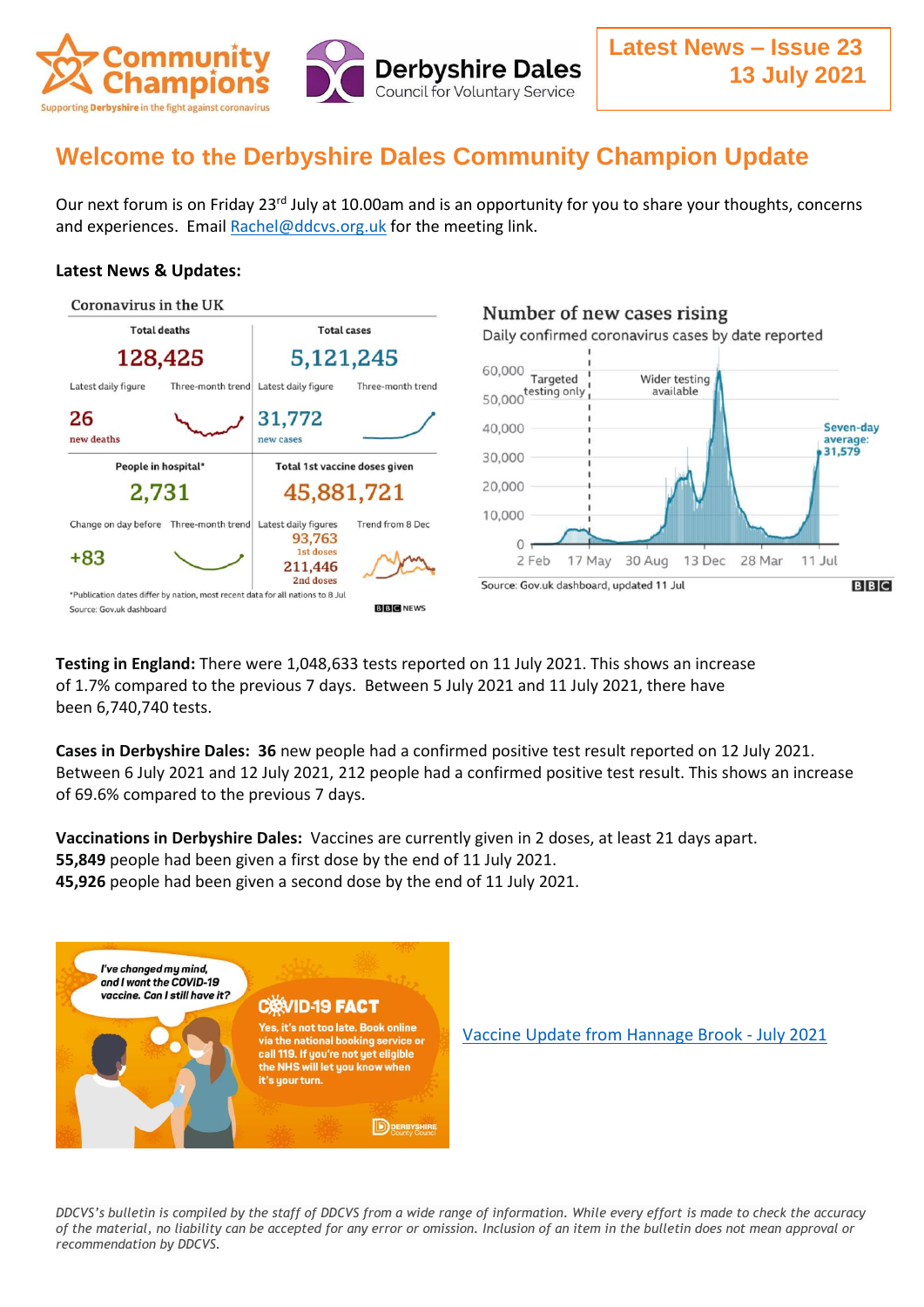

# **Welcome to the Derbyshire Dales Community Champion Update**

Our next forum is on Friday 23<sup>rd</sup> July at 10.00am and is an opportunity for you to share your thoughts, concerns and experiences. Email [Rachel@ddcvs.org.uk](mailto:Rachel@ddcvs.org.uk) for the meeting link.

#### **Latest News & Updates:**



**Testing in England:** There were 1,048,633 tests reported on 11 July 2021. This shows an increase of 1.7% compared to the previous 7 days. Between 5 July 2021 and 11 July 2021, there have been 6,740,740 tests.

**Cases in Derbyshire Dales: 36** new people had a confirmed positive test result reported on 12 July 2021. Between 6 July 2021 and 12 July 2021, 212 people had a confirmed positive test result. This shows an increase of 69.6% compared to the previous 7 days.

**Vaccinations in Derbyshire Dales:** Vaccines are currently given in 2 doses, at least 21 days apart. **55,849** people had been given a first dose by the end of 11 July 2021. **45,926** people had been given a second dose by the end of 11 July 2021.



[Vaccine Update from Hannage Brook -](https://www.facebook.com/hannagebrook/videos/322749002879258) July 2021

*DDCVS's bulletin is compiled by the staff of DDCVS from a wide range of information. While every effort is made to check the accuracy of the material, no liability can be accepted for any error or omission. Inclusion of an item in the bulletin does not mean approval or recommendation by DDCVS.*